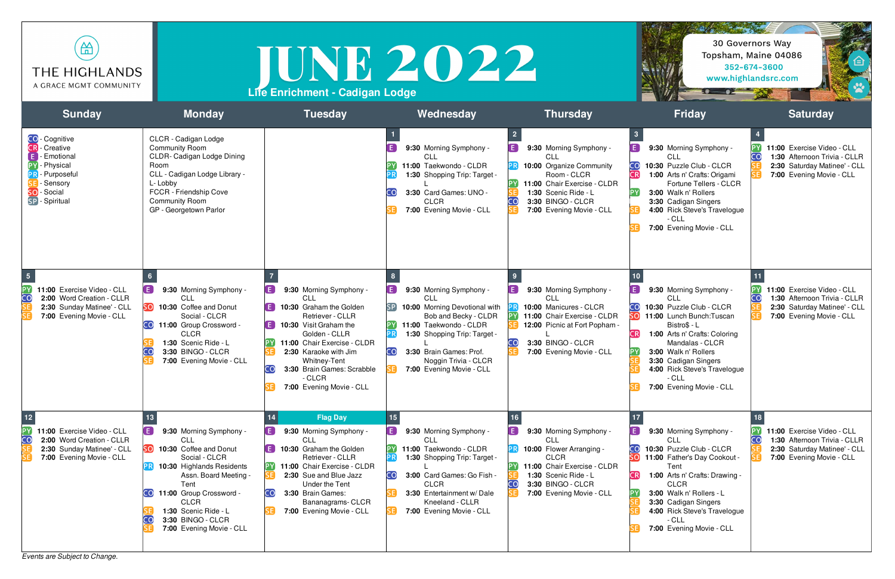*Events are Subject to Change.*

| (A)                    |
|------------------------|
| THE HIGHLANDS          |
| A GRACE MGMT COMMUNITY |



| क़<br><b>THE HIGHLANDS</b><br>A GRACE MGMT COMMUNITY                                                                                                       |                                                                                                                                                                                                                                                                                             | TUNE 2022<br>Life Enrichment - Cadigan Lodge                                                                                                                                                                                                                                          |                                                                                                                                                                                                                                                                                              |                                                                                                                                                                                                      | -8 - 82                                                                                                                                                                                                                                                                                                                      | 30 Governors Way<br>Topsham, Maine 04086<br>352-674-3600<br>www.highlandsrc.com                                              |
|------------------------------------------------------------------------------------------------------------------------------------------------------------|---------------------------------------------------------------------------------------------------------------------------------------------------------------------------------------------------------------------------------------------------------------------------------------------|---------------------------------------------------------------------------------------------------------------------------------------------------------------------------------------------------------------------------------------------------------------------------------------|----------------------------------------------------------------------------------------------------------------------------------------------------------------------------------------------------------------------------------------------------------------------------------------------|------------------------------------------------------------------------------------------------------------------------------------------------------------------------------------------------------|------------------------------------------------------------------------------------------------------------------------------------------------------------------------------------------------------------------------------------------------------------------------------------------------------------------------------|------------------------------------------------------------------------------------------------------------------------------|
| <b>Sunday</b>                                                                                                                                              | <b>Monday</b>                                                                                                                                                                                                                                                                               | <b>Tuesday</b>                                                                                                                                                                                                                                                                        | Wednesday                                                                                                                                                                                                                                                                                    | <b>Thursday</b>                                                                                                                                                                                      | <b>Friday</b>                                                                                                                                                                                                                                                                                                                | <b>Saturday</b>                                                                                                              |
| <b>CO</b> - Cognitive<br><b>CR</b> - Creative<br>- Emotional<br>PY - Physical<br>- Purposeful<br>- Sensory<br>SO-Social<br>SP - Spiritual                  | CLCR - Cadigan Lodge<br><b>Community Room</b><br>CLDR- Cadigan Lodge Dining<br>Room<br>CLL - Cadigan Lodge Library -<br>L-Lobby<br>FCCR - Friendship Cove<br><b>Community Room</b><br>GP - Georgetown Parlor                                                                                |                                                                                                                                                                                                                                                                                       | $\left( \begin{array}{c} \mathbf{E} \end{array} \right)$<br>9:30 Morning Symphony -<br>CLL<br>11:00 Taekwondo - CLDR<br>1:30 Shopping Trip: Target -<br>3:30 Card Games: UNO -<br>CO<br><b>CLCR</b><br>7:00 Evening Movie - CLL                                                              | O<br>9:30 Morning Symphony -<br><b>CLL</b><br>10:00 Organize Community<br>Room - CLCR<br>11:00 Chair Exercise - CLDR<br>1:30 Scenic Ride - L<br>CO.<br>3:30 BINGO - CLCR<br>7:00 Evening Movie - CLL | 9:30 Morning Symphony -<br>CLL<br>10:30 Puzzle Club - CLCR<br>CR<br>1:00 Arts n' Crafts: Origami<br>Fortune Tellers - CLCR<br>3:00 Walk n' Rollers<br>3:30 Cadigan Singers<br>4:00 Rick Steve's Travelogue<br>$-CLL$<br>7:00 Evening Movie - CLL                                                                             | 11:00 Exercise Video - CLL<br>CO<br>1:30 Afternoon Trivia - CLLR<br>2:30 Saturday Matinee' - CLL<br>7:00 Evening Movie - CLL |
| $\overline{\phantom{a}}$<br>ÞΥ<br>11:00 Exercise Video - CLL<br>CO<br>2:00 Word Creation - CLLR<br>2:30 Sunday Matinee' - CLL<br>7:00 Evening Movie - CLL  | [ E ]<br>9:30 Morning Symphony -<br>CLL<br>10:30 Coffee and Donut<br>Social - CLCR<br>CO 11:00 Group Crossword -<br><b>CLCR</b><br>1:30 Scenic Ride - L<br>3:30 BINGO - CLCR<br>7:00 Evening Movie - CLL                                                                                    | 9:30 Morning Symphony -<br>CLL<br>10:30 Graham the Golden<br>Retriever - CLLR<br>$\mathsf{E}$ 10:30 Visit Graham the<br>Golden - CLLR<br>PY 11:00 Chair Exercise - CLDR<br>2:30 Karaoke with Jim<br>Whitney-Tent<br>3:30 Brain Games: Scrabble<br>$-CLCR$<br>7:00 Evening Movie - CLL | $\left( \begin{array}{c} \mathbf{E} \end{array} \right)$<br>9:30 Morning Symphony -<br>CLL<br>10:00 Morning Devotional with<br>Bob and Becky - CLDR<br>11:00 Taekwondo - CLDR<br>1:30 Shopping Trip: Target -<br>3:30 Brain Games: Prof.<br>Noggin Trivia - CLCR<br>7:00 Evening Movie - CLL | 9:30 Morning Symphony -<br>[ E ]<br>CLL<br>10:00 Manicures - CLCR<br>11:00 Chair Exercise - CLDR<br>12:00 Picnic at Fort Popham -<br>3:30 BINGO - CLCR<br>CO.<br>7:00 Evening Movie - CLL            | 10<br>9:30 Morning Symphony -<br><b>CLL</b><br>10:30 Puzzle Club - CLCR<br>$\overline{O}$<br>11:00 Lunch Bunch: Tuscan<br>Bistro\$ - L<br>1:00 Arts n' Crafts: Coloring<br><b>CR</b><br>Mandalas - CLCR<br>3:00 Walk n' Rollers<br>3:30 Cadigan Singers<br>4:00 Rick Steve's Travelogue<br>- CLL<br>7:00 Evening Movie - CLL | 11:00 Exercise Video - CLL<br>CO<br>1:30 Afternoon Trivia - CLLR<br>2:30 Saturday Matinee' - CLL<br>7:00 Evening Movie - CLL |
| $12$<br>ĺΡ<br>11:00 Exercise Video - CLL<br>$\overline{\mathbf{C}}$<br>2:00 Word Creation - CLLR<br>2:30 Sunday Matinee' - CLL<br>7:00 Evening Movie - CLL | 9:30 Morning Symphony -<br>CLL<br>SO 10:30 Coffee and Donut<br>Social - CLCR<br><b>PR</b> 10:30 Highlands Residents<br>Assn. Board Meeting -<br>Tent<br><b>CO</b><br>11:00 Group Crossword -<br><b>CLCR</b><br>1:30 Scenic Ride - L<br>3:30 BINGO - CLCR<br>CO,<br>7:00 Evening Movie - CLL | <b>Flag Day</b><br>14<br>E.<br>9:30 Morning Symphony -<br>CLL<br>10:30 Graham the Golden<br>Retriever - CLLR<br>11:00 Chair Exercise - CLDR<br>2:30 Sue and Blue Jazz<br>Under the Tent<br>CO.<br>3:30 Brain Games:<br>Bananagrams- CLCR<br>7:00 Evening Movie - CLL                  | E)<br>9:30 Morning Symphony -<br>CLL<br>11:00 Taekwondo - CLDR<br>1:30 Shopping Trip: Target -<br>CO<br>3:00 Card Games: Go Fish -<br><b>CLCR</b><br>3:30 Entertainment w/Dale<br>Kneeland - CLLR<br>7:00 Evening Movie - CLL                                                                | O<br>9:30 Morning Symphony -<br>CLL<br>10:00 Flower Arranging -<br><b>CLCR</b><br>11:00 Chair Exercise - CLDR<br>1:30 Scenic Ride - L<br>CO.<br>3:30 BINGO - CLCR<br>7:00 Evening Movie - CLL        | F.<br>9:30 Morning Symphony -<br><b>CLL</b><br>10:30 Puzzle Club - CLCR<br>11:00 Father's Day Cookout -<br>Tent<br>1:00 Arts n' Crafts: Drawing -<br><b>CR</b><br><b>CLCR</b><br>3:00 Walk n' Rollers - L<br>3:30 Cadigan Singers<br>4:00 Rick Steve's Travelogue<br>$-CLL$<br>7:00 Evening Movie - CLL                      | 11:00 Exercise Video - CLL<br>CO<br>1:30 Afternoon Trivia - CLLR<br>2:30 Saturday Matinee' - CLL<br>7:00 Evening Movie - CLL |